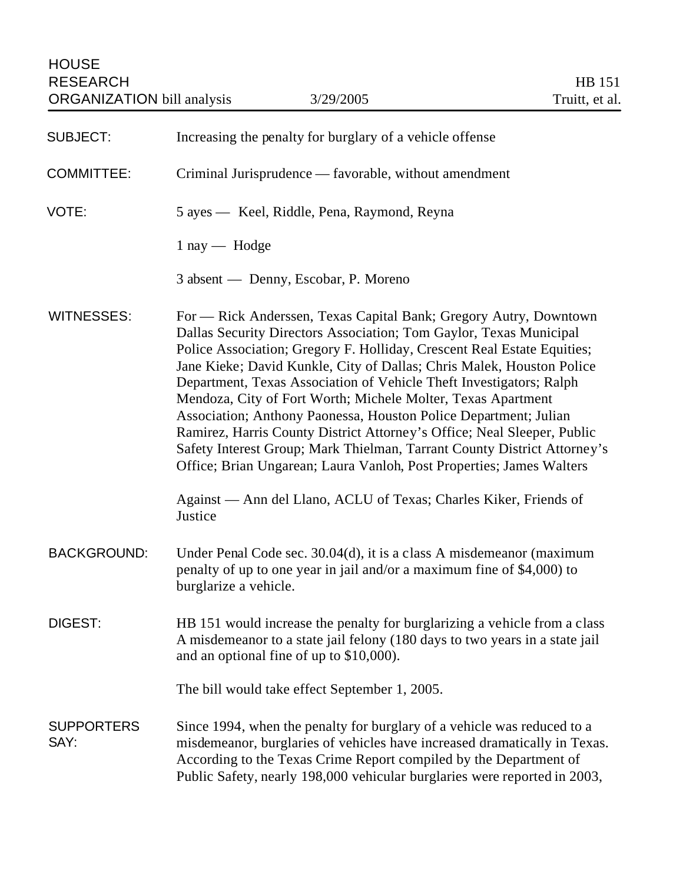| <b>SUBJECT:</b>           | Increasing the penalty for burglary of a vehicle offense                                                                                                                                                                                                                                                                                                                                                                                                                                                                                                                                                                                                                                                                                                                                                              |
|---------------------------|-----------------------------------------------------------------------------------------------------------------------------------------------------------------------------------------------------------------------------------------------------------------------------------------------------------------------------------------------------------------------------------------------------------------------------------------------------------------------------------------------------------------------------------------------------------------------------------------------------------------------------------------------------------------------------------------------------------------------------------------------------------------------------------------------------------------------|
| <b>COMMITTEE:</b>         | Criminal Jurisprudence — favorable, without amendment                                                                                                                                                                                                                                                                                                                                                                                                                                                                                                                                                                                                                                                                                                                                                                 |
| VOTE:                     | 5 ayes — Keel, Riddle, Pena, Raymond, Reyna                                                                                                                                                                                                                                                                                                                                                                                                                                                                                                                                                                                                                                                                                                                                                                           |
|                           | $1 \text{ ray}$ - Hodge                                                                                                                                                                                                                                                                                                                                                                                                                                                                                                                                                                                                                                                                                                                                                                                               |
|                           | 3 absent — Denny, Escobar, P. Moreno                                                                                                                                                                                                                                                                                                                                                                                                                                                                                                                                                                                                                                                                                                                                                                                  |
| <b>WITNESSES:</b>         | For — Rick Anderssen, Texas Capital Bank; Gregory Autry, Downtown<br>Dallas Security Directors Association; Tom Gaylor, Texas Municipal<br>Police Association; Gregory F. Holliday, Crescent Real Estate Equities;<br>Jane Kieke; David Kunkle, City of Dallas; Chris Malek, Houston Police<br>Department, Texas Association of Vehicle Theft Investigators; Ralph<br>Mendoza, City of Fort Worth; Michele Molter, Texas Apartment<br>Association; Anthony Paonessa, Houston Police Department; Julian<br>Ramirez, Harris County District Attorney's Office; Neal Sleeper, Public<br>Safety Interest Group; Mark Thielman, Tarrant County District Attorney's<br>Office; Brian Ungarean; Laura Vanloh, Post Properties; James Walters<br>Against — Ann del Llano, ACLU of Texas; Charles Kiker, Friends of<br>Justice |
| <b>BACKGROUND:</b>        | Under Penal Code sec. 30.04(d), it is a class A misdemeanor (maximum<br>penalty of up to one year in jail and/or a maximum fine of \$4,000) to<br>burglarize a vehicle.                                                                                                                                                                                                                                                                                                                                                                                                                                                                                                                                                                                                                                               |
| DIGEST:                   | HB 151 would increase the penalty for burglarizing a vehicle from a class<br>A misdemeanor to a state jail felony (180 days to two years in a state jail<br>and an optional fine of up to \$10,000).                                                                                                                                                                                                                                                                                                                                                                                                                                                                                                                                                                                                                  |
|                           | The bill would take effect September 1, 2005.                                                                                                                                                                                                                                                                                                                                                                                                                                                                                                                                                                                                                                                                                                                                                                         |
| <b>SUPPORTERS</b><br>SAY: | Since 1994, when the penalty for burglary of a vehicle was reduced to a<br>misdemeanor, burglaries of vehicles have increased dramatically in Texas.<br>According to the Texas Crime Report compiled by the Department of<br>Public Safety, nearly 198,000 vehicular burglaries were reported in 2003,                                                                                                                                                                                                                                                                                                                                                                                                                                                                                                                |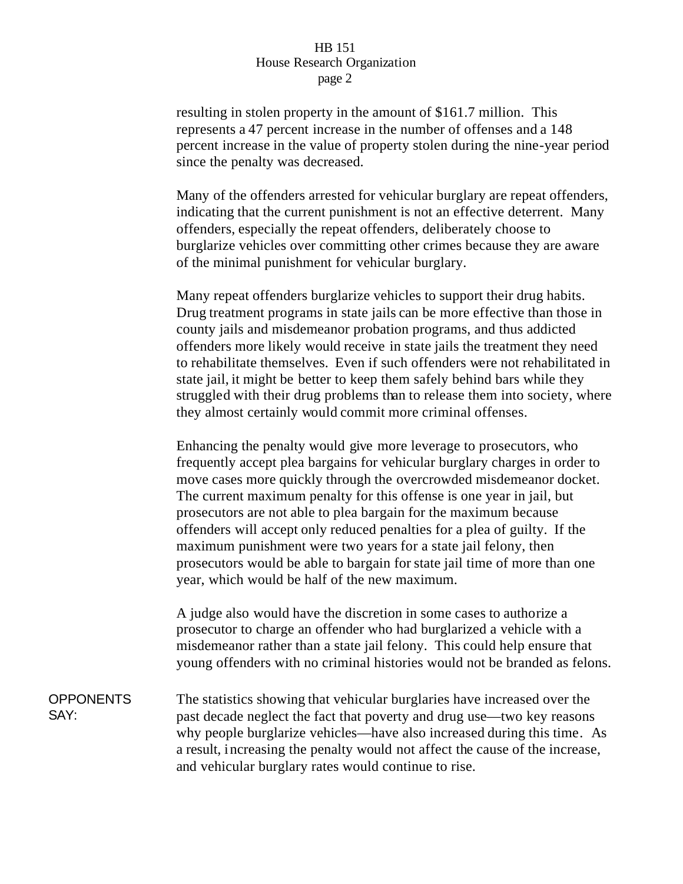## HB 151 House Research Organization page 2

resulting in stolen property in the amount of \$161.7 million. This represents a 47 percent increase in the number of offenses and a 148 percent increase in the value of property stolen during the nine-year period since the penalty was decreased.

Many of the offenders arrested for vehicular burglary are repeat offenders, indicating that the current punishment is not an effective deterrent. Many offenders, especially the repeat offenders, deliberately choose to burglarize vehicles over committing other crimes because they are aware of the minimal punishment for vehicular burglary.

Many repeat offenders burglarize vehicles to support their drug habits. Drug treatment programs in state jails can be more effective than those in county jails and misdemeanor probation programs, and thus addicted offenders more likely would receive in state jails the treatment they need to rehabilitate themselves. Even if such offenders were not rehabilitated in state jail, it might be better to keep them safely behind bars while they struggled with their drug problems than to release them into society, where they almost certainly would commit more criminal offenses.

Enhancing the penalty would give more leverage to prosecutors, who frequently accept plea bargains for vehicular burglary charges in order to move cases more quickly through the overcrowded misdemeanor docket. The current maximum penalty for this offense is one year in jail, but prosecutors are not able to plea bargain for the maximum because offenders will accept only reduced penalties for a plea of guilty. If the maximum punishment were two years for a state jail felony, then prosecutors would be able to bargain for state jail time of more than one year, which would be half of the new maximum.

A judge also would have the discretion in some cases to authorize a prosecutor to charge an offender who had burglarized a vehicle with a misdemeanor rather than a state jail felony. This could help ensure that young offenders with no criminal histories would not be branded as felons.

**OPPONENTS** SAY: The statistics showing that vehicular burglaries have increased over the past decade neglect the fact that poverty and drug use—two key reasons why people burglarize vehicles—have also increased during this time. As a result, increasing the penalty would not affect the cause of the increase, and vehicular burglary rates would continue to rise.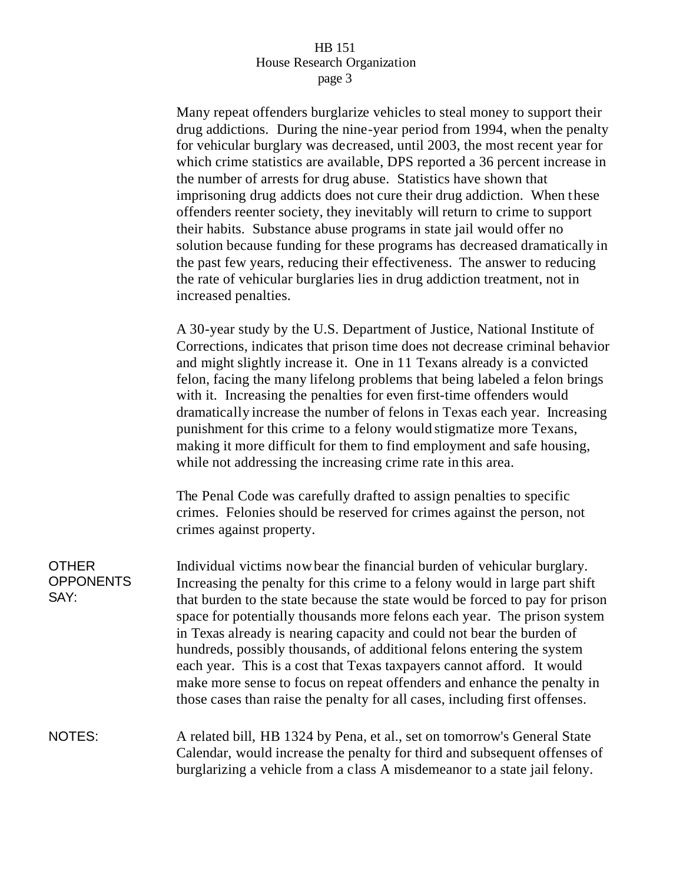## HB 151 House Research Organization page 3

Many repeat offenders burglarize vehicles to steal money to support their drug addictions. During the nine-year period from 1994, when the penalty for vehicular burglary was decreased, until 2003, the most recent year for which crime statistics are available, DPS reported a 36 percent increase in the number of arrests for drug abuse. Statistics have shown that imprisoning drug addicts does not cure their drug addiction. When these offenders reenter society, they inevitably will return to crime to support their habits. Substance abuse programs in state jail would offer no solution because funding for these programs has decreased dramatically in the past few years, reducing their effectiveness. The answer to reducing the rate of vehicular burglaries lies in drug addiction treatment, not in increased penalties.

A 30-year study by the U.S. Department of Justice, National Institute of Corrections, indicates that prison time does not decrease criminal behavior and might slightly increase it. One in 11 Texans already is a convicted felon, facing the many lifelong problems that being labeled a felon brings with it. Increasing the penalties for even first-time offenders would dramatically increase the number of felons in Texas each year. Increasing punishment for this crime to a felony would stigmatize more Texans, making it more difficult for them to find employment and safe housing, while not addressing the increasing crime rate in this area.

The Penal Code was carefully drafted to assign penalties to specific crimes. Felonies should be reserved for crimes against the person, not crimes against property.

| <b>OTHER</b><br><b>OPPONENTS</b><br>SAY: | Individual victims now bear the financial burden of vehicular burglary.<br>Increasing the penalty for this crime to a felony would in large part shift<br>that burden to the state because the state would be forced to pay for prison<br>space for potentially thousands more felons each year. The prison system<br>in Texas already is nearing capacity and could not bear the burden of<br>hundreds, possibly thousands, of additional felons entering the system<br>each year. This is a cost that Texas taxpayers cannot afford. It would |
|------------------------------------------|-------------------------------------------------------------------------------------------------------------------------------------------------------------------------------------------------------------------------------------------------------------------------------------------------------------------------------------------------------------------------------------------------------------------------------------------------------------------------------------------------------------------------------------------------|
|                                          | make more sense to focus on repeat offenders and enhance the penalty in<br>those cases than raise the penalty for all cases, including first offenses.                                                                                                                                                                                                                                                                                                                                                                                          |
| NOTES:                                   | A related bill, HB 1324 by Pena, et al., set on tomorrow's General State<br>Calendar, would increase the penalty for third and subsequent offenses of<br>burglarizing a vehicle from a class A misdemeanor to a state jail felony.                                                                                                                                                                                                                                                                                                              |